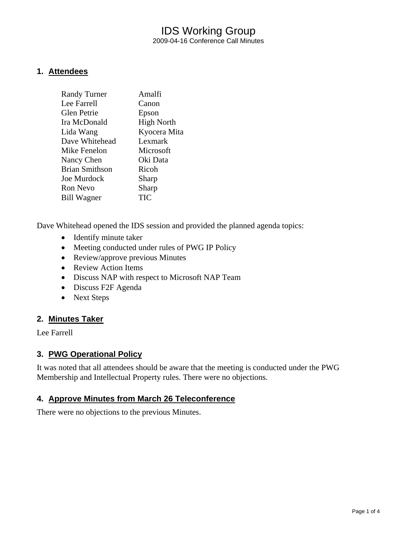# IDS Working Group 2009-04-16 Conference Call Minutes

### **1. Attendees**

| <b>Randy Turner</b>   | Amalfi            |
|-----------------------|-------------------|
| Lee Farrell           | Canon             |
| <b>Glen Petrie</b>    | Epson             |
| Ira McDonald          | <b>High North</b> |
| Lida Wang             | Kyocera Mita      |
| Dave Whitehead        | Lexmark           |
| Mike Fenelon          | Microsoft         |
| Nancy Chen            | Oki Data          |
| <b>Brian Smithson</b> | Ricoh             |
| Joe Murdock           | Sharp             |
| <b>Ron Nevo</b>       | Sharp             |
| Bill Wagner           | TIC               |
|                       |                   |

Dave Whitehead opened the IDS session and provided the planned agenda topics:

- Identify minute taker
- Meeting conducted under rules of PWG IP Policy
- Review/approve previous Minutes
- Review Action Items
- Discuss NAP with respect to Microsoft NAP Team
- Discuss F2F Agenda
- Next Steps

### **2. Minutes Taker**

Lee Farrell

### **3. PWG Operational Policy**

It was noted that all attendees should be aware that the meeting is conducted under the PWG Membership and Intellectual Property rules. There were no objections.

### **4. Approve Minutes from March 26 Teleconference**

There were no objections to the previous Minutes.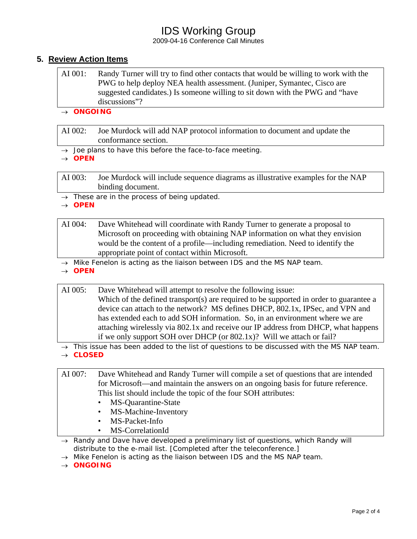# IDS Working Group

2009-04-16 Conference Call Minutes

### **5. Review Action Items**

- AI 001: Randy Turner will try to find other contacts that would be willing to work with the PWG to help deploy NEA health assessment. (Juniper, Symantec, Cisco are suggested candidates.) Is someone willing to sit down with the PWG and "have discussions"?
- → *ONGOING*

AI 002: Joe Murdock will add NAP protocol information to document and update the conformance section.

→ *Joe plans to have this before the face-to-face meeting.* 

→ *OPEN* 

AI 003: Joe Murdock will include sequence diagrams as illustrative examples for the NAP binding document.

→ *These are in the process of being updated.* 

→ *OPEN* 

- AI 004: Dave Whitehead will coordinate with Randy Turner to generate a proposal to Microsoft on proceeding with obtaining NAP information on what they envision would be the content of a profile—including remediation. Need to identify the appropriate point of contact within Microsoft.
- → *Mike Fenelon is acting as the liaison between IDS and the MS NAP team.*
- → *OPEN*

AI 005: Dave Whitehead will attempt to resolve the following issue: Which of the defined transport(s) are required to be supported in order to guarantee a device can attach to the network? MS defines DHCP, 802.1x, IPSec, and VPN and has extended each to add SOH information. So, in an environment where we are attaching wirelessly via 802.1x and receive our IP address from DHCP, what happens if we only support SOH over DHCP (or 802.1x)? Will we attach or fail?

→ *This issue has been added to the list of questions to be discussed with the MS NAP team.*  → *CLOSED* 

AI 007: Dave Whitehead and Randy Turner will compile a set of questions that are intended for Microsoft—and maintain the answers on an ongoing basis for future reference. This list should include the topic of the four SOH attributes:

- MS-Quarantine-State
- MS-Machine-Inventory
- MS-Packet-Info
- MS-CorrelationId

→ *Randy and Dave have developed a preliminary list of questions, which Randy will distribute to the e-mail list. [Completed after the teleconference.]* 

→ *Mike Fenelon is acting as the liaison between IDS and the MS NAP team.* 

→ *ONGOING*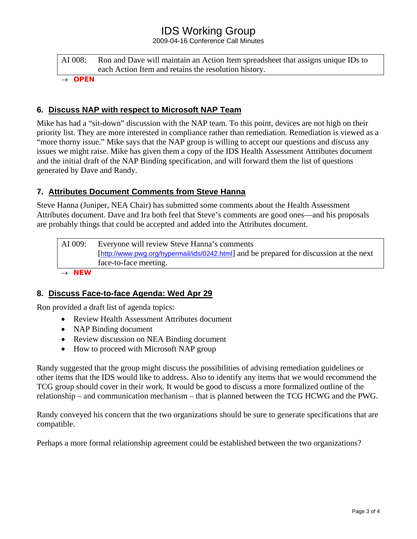# IDS Working Group

2009-04-16 Conference Call Minutes

| AI 008: | Ron and Dave will maintain an Action Item spreadsheet that assigns unique IDs to |
|---------|----------------------------------------------------------------------------------|
|         | each Action Item and retains the resolution history.                             |

→ *OPEN* 

### **6. Discuss NAP with respect to Microsoft NAP Team**

Mike has had a "sit-down" discussion with the NAP team. To this point, devices are not high on their priority list. They are more interested in compliance rather than remediation. Remediation is viewed as a "more thorny issue." Mike says that the NAP group is willing to accept our questions and discuss any issues we might raise. Mike has given them a copy of the IDS Health Assessment Attributes document and the initial draft of the NAP Binding specification, and will forward them the list of questions generated by Dave and Randy.

### **7. Attributes Document Comments from Steve Hanna**

Steve Hanna (Juniper, NEA Chair) has submitted some comments about the Health Assessment Attributes document. Dave and Ira both feel that Steve's comments are good ones—and his proposals are probably things that could be accepted and added into the Attributes document.

AI 009: Everyone will review Steve Hanna's comments [<http://www.pwg.org/hypermail/ids/0242.html>] and be prepared for discussion at the next face-to-face meeting.

→ *NEW* 

## **8. Discuss Face-to-face Agenda: Wed Apr 29**

Ron provided a draft list of agenda topics:

- Review Health Assessment Attributes document
- NAP Binding document
- Review discussion on NEA Binding document
- How to proceed with Microsoft NAP group

Randy suggested that the group might discuss the possibilities of advising remediation guidelines or other items that the IDS would like to address. Also to identify any items that we would recommend the TCG group should cover in their work. It would be good to discuss a more formalized outline of the relationship – and communication mechanism – that is planned between the TCG HCWG and the PWG.

Randy conveyed his concern that the two organizations should be sure to generate specifications that are compatible.

Perhaps a more formal relationship agreement could be established between the two organizations?